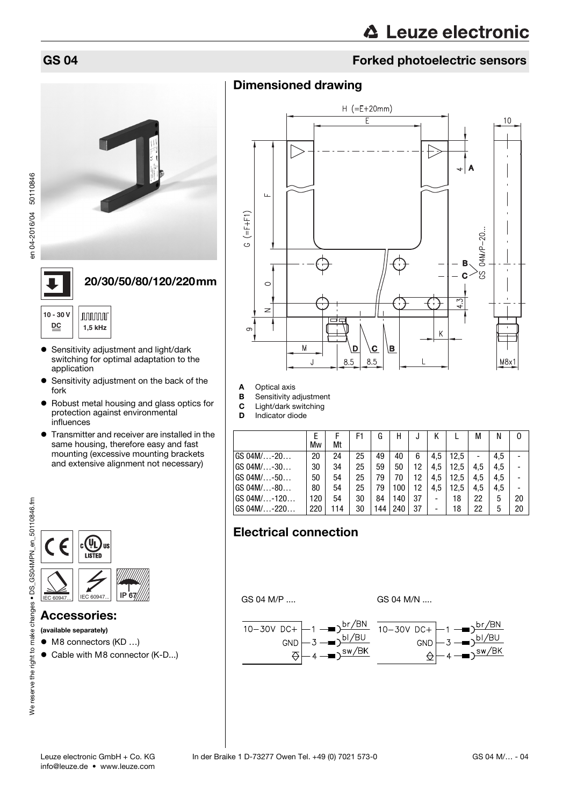en 04-2016/04 50110846

# **∆ Leuze electronic**

# GS 04 Forked photoelectric sensors

### Dimensioned drawing



#### 20/30/50/80/120/220mm

| $10 - 30V$<br>DC |  | nnnnnn<br>1,5 kHz |
|------------------|--|-------------------|
|------------------|--|-------------------|

- Sensitivity adjustment and light/dark switching for optimal adaptation to the application
- **•** Sensitivity adjustment on the back of the fork
- Robust metal housing and glass optics for protection against environmental influences
- **•** Transmitter and receiver are installed in the same housing, therefore easy and fast mounting (excessive mounting brackets and extensive alignment not necessary)



#### Accessories:

(available separately)

- M8 connectors (KD ...)
- Cable with M8 connector (K-D...)



- A Optical axis
- **B** Sensitivity adjustment
- **C** Light/dark switching<br>**D** Indicator diode

Indicator diode

|                               | Mw  | Mt  | F1 | G   | Н   | J  |     |      | М   |     | 0  |
|-------------------------------|-----|-----|----|-----|-----|----|-----|------|-----|-----|----|
| $GS$ 04M/ $\dots$ -20 $\dots$ | 20  | 24  | 25 | 49  | 40  | 6  | 4.5 | 12.5 |     | 4.5 |    |
| GS 04M/-30                    | 30  | 34  | 25 | 59  | 50  | 12 | 4.5 | 12.5 | 4.5 | 4.5 |    |
| GS 04M/-50                    | 50  | 54  | 25 | 79  | 70  | 12 | 4.5 | 12.5 | 4.5 | 4.5 |    |
| GS 04M/-80                    | 80  | 54  | 25 | 79  | 100 | 12 | 4.5 | 12,5 | 4,5 | 4.5 |    |
| GS 04M/-120                   | 120 | 54  | 30 | 84  | 140 | 37 |     | 18   | 22  | 5   | 20 |
| GS 04M/-220                   | 220 | 114 | 30 | 144 | 240 | 37 |     | 18   | 22  | 5   | 20 |

## Electrical connection

GS 04 M/P .... GS 04 M/N ....